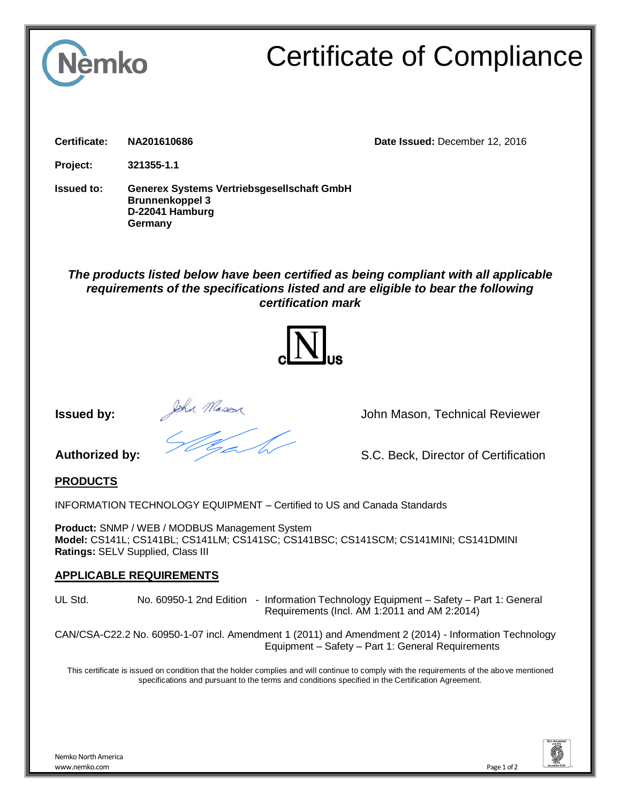

# Certificate of Compliance

**Certificate: NA201610686 Date Issued:** December 12, 2016

**Project: 321355-1.1**

**Issued to: Generex Systems Vertriebsgesellschaft GmbH Brunnenkoppel 3 D-22041 Hamburg Germany**

## *The products listed below have been certified as being compliant with all applicable requirements of the specifications listed and are eligible to bear the following certification mark*



**Issued by:** *John Mason* John Mason, Technical Reviewer

**Authorized by:** S.C. Beck, Director of Certification

#### **PRODUCTS**

INFORMATION TECHNOLOGY EQUIPMENT – Certified to US and Canada Standards

**Product:** SNMP / WEB / MODBUS Management System **Model:** CS141L; CS141BL; CS141LM; CS141SC; CS141BSC; CS141SCM; CS141MINI; CS141DMINI **Ratings:** SELV Supplied, Class III

#### **APPLICABLE REQUIREMENTS**

UL Std. No. 60950-1 2nd Edition - Information Technology Equipment – Safety – Part 1: General Requirements (Incl. AM 1:2011 and AM 2:2014)

CAN/CSA-C22.2 No. 60950-1-07 incl. Amendment 1 (2011) and Amendment 2 (2014) - Information Technology Equipment – Safety – Part 1: General Requirements

This certificate is issued on condition that the holder complies and will continue to comply with the requirements of the above mentioned specifications and pursuant to the terms and conditions specified in the Certification Agreement.